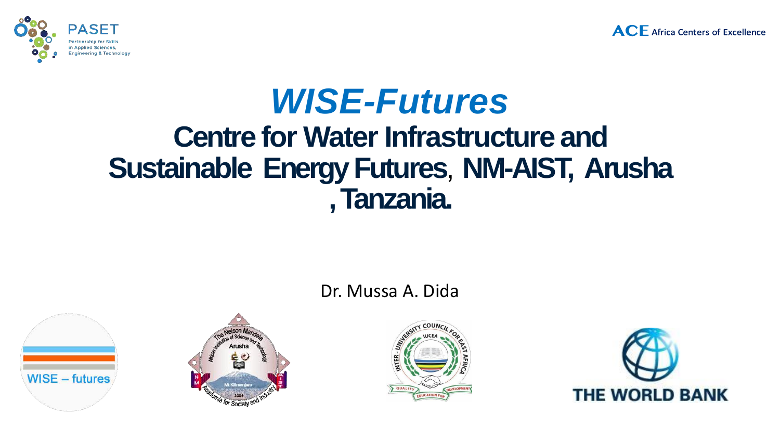



# *WISE-Futures* **Centre for Water Infrastructure and Sustainable EnergyFutures**, **NM-AIST, Arusha , Tanzania.**

### Dr. Mussa A. Dida







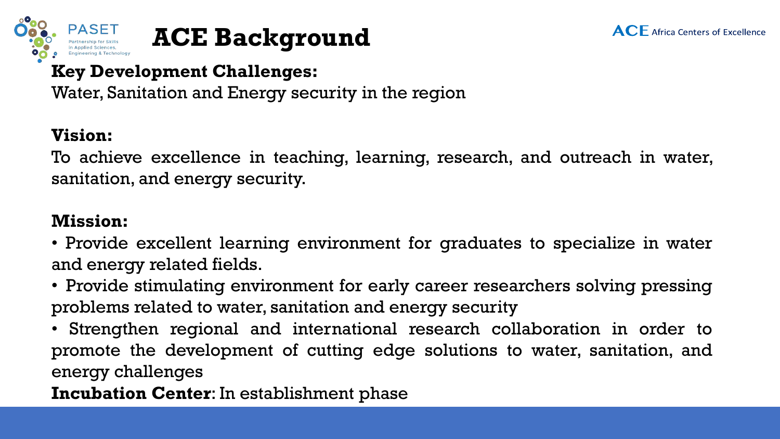





### **Key Development Challenges:**

Water, Sanitation and Energy security in the region

## **Vision:**

To achieve excellence in teaching, learning, research, and outreach in water, sanitation, and energy security.

## **Mission:**

• Provide excellent learning environment for graduates to specialize in water and energy related fields.

• Provide stimulating environment for early career researchers solving pressing problems related to water, sanitation and energy security

• Strengthen regional and international research collaboration in order to promote the development of cutting edge solutions to water, sanitation, and energy challenges

**Incubation Center**: In establishment phase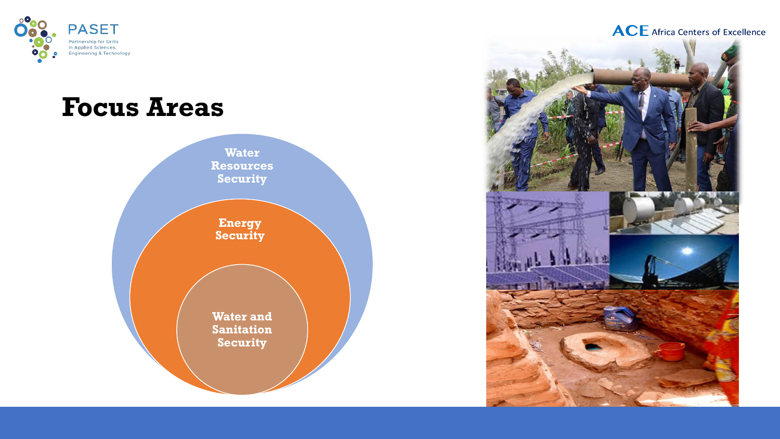

## **Focus Areas**



#### **ACE** Africa Centers of Excellence

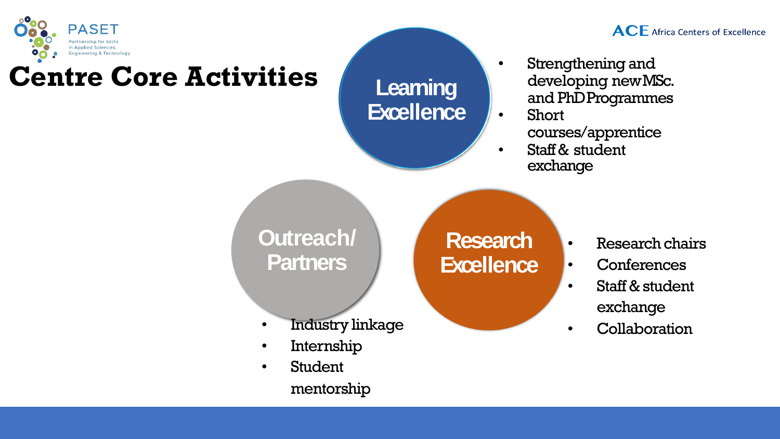

# **Centre Core Activities Learning**

**Excellence**

- **ACE** Africa Centers of Excellence
- Strengthening and developing newMSc. and PhDProgrammes
- Short courses/apprentice
- Staff & student exchange

**Outreach/ Partners**

**Research Excellence**

- Research chairs
	- **Conferences**
- Staff & student exchange
- Industry linkage  **Collaboration**
- Internship
- Student mentorship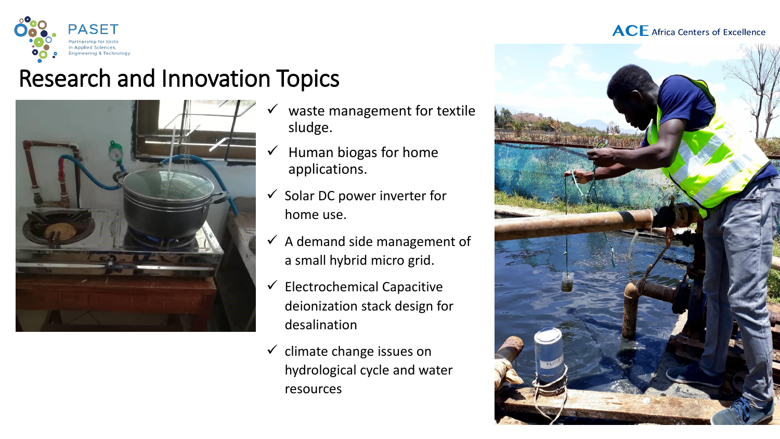



## Research and Innovation Topics



- waste management for textile sludge.
- $\checkmark$  Human biogas for home applications.
- $\checkmark$  Solar DC power inverter for home use.
- $\checkmark$  A demand side management of a small hybrid micro grid.
- $\checkmark$  Electrochemical Capacitive deionization stack design for desalination
- $\checkmark$  climate change issues on hydrological cycle and water resources

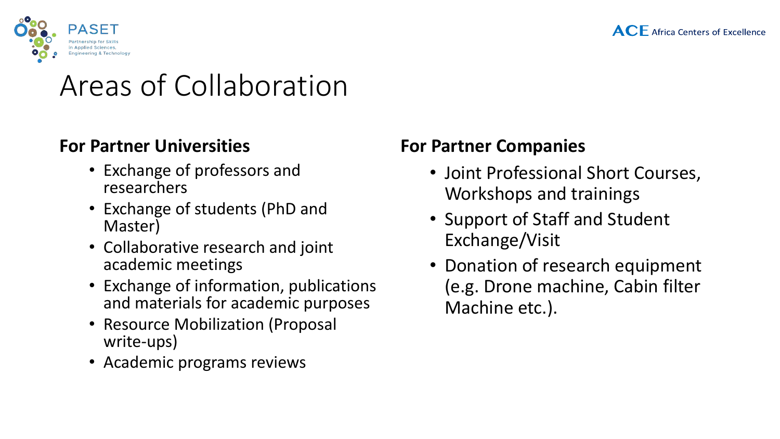



## Areas of Collaboration

### **For Partner Universities**

- Exchange of professors and researchers
- Exchange of students (PhD and Master)
- Collaborative research and joint academic meetings
- Exchange of information, publications and materials for academic purposes
- Resource Mobilization (Proposal write-ups)
- Academic programs reviews

## **For Partner Companies**

- Joint Professional Short Courses, Workshops and trainings
- Support of Staff and Student Exchange/Visit
- Donation of research equipment (e.g. Drone machine, Cabin filter Machine etc.).